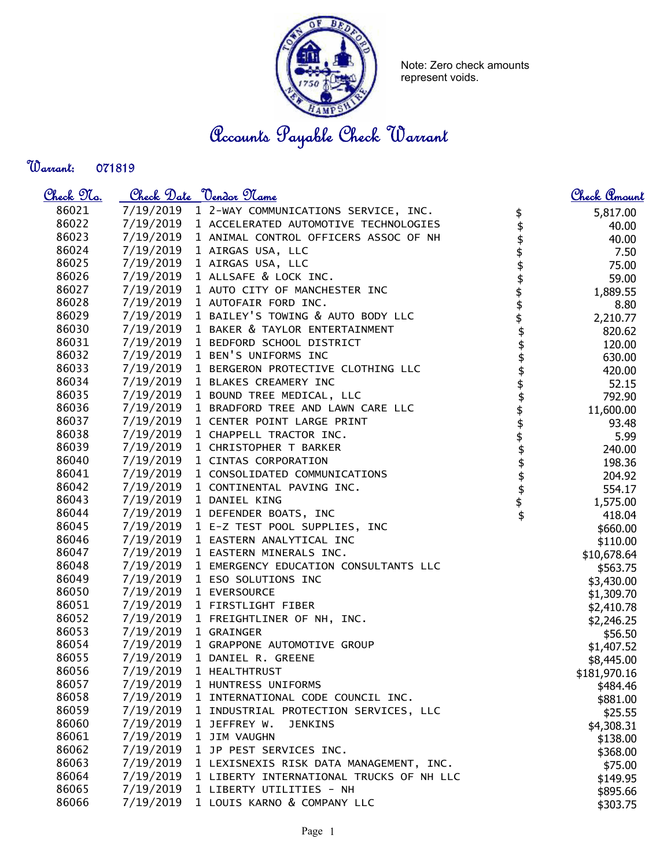

Note: Zero check amounts represent voids.

Accounts Payable Check Warrant

Warrant: 

| <u>Check 97a.</u> |           | Check Date <u>Vendor Name</u>            |                                                     | <u>Check Amount</u> |
|-------------------|-----------|------------------------------------------|-----------------------------------------------------|---------------------|
| 86021             | 7/19/2019 | 1 2-WAY COMMUNICATIONS SERVICE, INC.     |                                                     | 5,817.00            |
| 86022             | 7/19/2019 | 1 ACCELERATED AUTOMOTIVE TECHNOLOGIES    | <b>\$\$\$\$\$\$\$\$\$\$\$\$\$\$\$\$\$\$\$\$\$\$</b> | 40.00               |
| 86023             | 7/19/2019 | 1 ANIMAL CONTROL OFFICERS ASSOC OF NH    |                                                     | 40.00               |
| 86024             | 7/19/2019 | 1 AIRGAS USA, LLC                        |                                                     | 7.50                |
| 86025             | 7/19/2019 | 1 AIRGAS USA, LLC                        |                                                     | 75.00               |
| 86026             | 7/19/2019 | 1 ALLSAFE & LOCK INC.                    |                                                     | 59.00               |
| 86027             | 7/19/2019 | 1 AUTO CITY OF MANCHESTER INC            |                                                     | 1,889.55            |
| 86028             | 7/19/2019 | 1 AUTOFAIR FORD INC.                     |                                                     | 8.80                |
| 86029             | 7/19/2019 | 1 BAILEY'S TOWING & AUTO BODY LLC        |                                                     | 2,210.77            |
| 86030             | 7/19/2019 | 1 BAKER & TAYLOR ENTERTAINMENT           |                                                     | 820.62              |
| 86031             | 7/19/2019 | 1 BEDFORD SCHOOL DISTRICT                |                                                     | 120.00              |
| 86032             | 7/19/2019 | 1 BEN'S UNIFORMS INC                     |                                                     | 630.00              |
| 86033             | 7/19/2019 | 1 BERGERON PROTECTIVE CLOTHING LLC       |                                                     | 420.00              |
| 86034             | 7/19/2019 | 1 BLAKES CREAMERY INC                    |                                                     | 52.15               |
| 86035             | 7/19/2019 | 1 BOUND TREE MEDICAL, LLC                |                                                     | 792.90              |
| 86036             | 7/19/2019 | 1 BRADFORD TREE AND LAWN CARE LLC        |                                                     | 11,600.00           |
| 86037             | 7/19/2019 | 1 CENTER POINT LARGE PRINT               |                                                     | 93.48               |
| 86038             | 7/19/2019 | 1 CHAPPELL TRACTOR INC.                  |                                                     | 5.99                |
| 86039             | 7/19/2019 | 1 CHRISTOPHER T BARKER                   |                                                     | 240.00              |
| 86040             | 7/19/2019 | 1 CINTAS CORPORATION                     |                                                     | 198.36              |
| 86041             | 7/19/2019 | 1 CONSOLIDATED COMMUNICATIONS            |                                                     | 204.92              |
| 86042             | 7/19/2019 | 1 CONTINENTAL PAVING INC.                |                                                     | 554.17              |
| 86043             | 7/19/2019 | 1 DANIEL KING                            |                                                     | 1,575.00            |
| 86044             | 7/19/2019 | 1 DEFENDER BOATS, INC                    |                                                     | 418.04              |
| 86045             | 7/19/2019 | 1 E-Z TEST POOL SUPPLIES, INC            |                                                     | \$660.00            |
| 86046             | 7/19/2019 | 1 EASTERN ANALYTICAL INC                 |                                                     | \$110.00            |
| 86047             | 7/19/2019 | 1 EASTERN MINERALS INC.                  |                                                     | \$10,678.64         |
| 86048             | 7/19/2019 | 1 EMERGENCY EDUCATION CONSULTANTS LLC    |                                                     | \$563.75            |
| 86049             | 7/19/2019 | 1 ESO SOLUTIONS INC                      |                                                     | \$3,430.00          |
| 86050             | 7/19/2019 | 1 EVERSOURCE                             |                                                     | \$1,309.70          |
| 86051             | 7/19/2019 | 1 FIRSTLIGHT FIBER                       |                                                     | \$2,410.78          |
| 86052             | 7/19/2019 | 1 FREIGHTLINER OF NH, INC.               |                                                     | \$2,246.25          |
| 86053             | 7/19/2019 | 1 GRAINGER                               |                                                     | \$56.50             |
| 86054             | 7/19/2019 | 1 GRAPPONE AUTOMOTIVE GROUP              |                                                     | \$1,407.52          |
| 86055             | 7/19/2019 | 1 DANIEL R. GREENE                       |                                                     | \$8,445.00          |
| 86056             | 7/19/2019 | 1 HEALTHTRUST                            |                                                     | \$181,970.16        |
| 86057             | 7/19/2019 | 1 HUNTRESS UNIFORMS                      |                                                     | \$484.46            |
| 86058             | 7/19/2019 | 1 INTERNATIONAL CODE COUNCIL INC.        |                                                     | \$881.00            |
| 86059             | 7/19/2019 | 1 INDUSTRIAL PROTECTION SERVICES, LLC    |                                                     | \$25.55             |
| 86060             | 7/19/2019 | 1 JEFFREY W.<br><b>JENKINS</b>           |                                                     | \$4,308.31          |
| 86061             | 7/19/2019 | 1 JIM VAUGHN                             |                                                     | \$138.00            |
| 86062             | 7/19/2019 | 1 JP PEST SERVICES INC.                  |                                                     | \$368.00            |
| 86063             | 7/19/2019 | 1 LEXISNEXIS RISK DATA MANAGEMENT, INC.  |                                                     | \$75.00             |
| 86064             | 7/19/2019 | 1 LIBERTY INTERNATIONAL TRUCKS OF NH LLC |                                                     | \$149.95            |
| 86065             | 7/19/2019 | 1 LIBERTY UTILITIES - NH                 |                                                     | \$895.66            |
| 86066             | 7/19/2019 | 1 LOUIS KARNO & COMPANY LLC              |                                                     | \$303.75            |